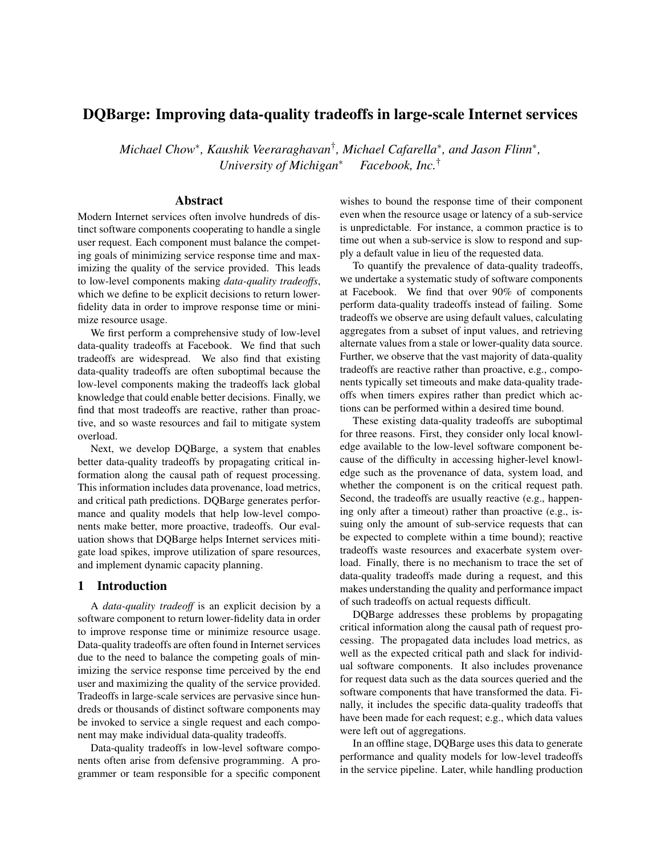# DQBarge: Improving data-quality tradeoffs in large-scale Internet services

*Michael Chow*<sup>∗</sup> *, Kaushik Veeraraghavan*† *, Michael Cafarella*<sup>∗</sup> *, and Jason Flinn*<sup>∗</sup> *, University of Michigan*<sup>∗</sup> *Facebook, Inc.*†

# Abstract

Modern Internet services often involve hundreds of distinct software components cooperating to handle a single user request. Each component must balance the competing goals of minimizing service response time and maximizing the quality of the service provided. This leads to low-level components making *data-quality tradeoffs*, which we define to be explicit decisions to return lowerfidelity data in order to improve response time or minimize resource usage.

We first perform a comprehensive study of low-level data-quality tradeoffs at Facebook. We find that such tradeoffs are widespread. We also find that existing data-quality tradeoffs are often suboptimal because the low-level components making the tradeoffs lack global knowledge that could enable better decisions. Finally, we find that most tradeoffs are reactive, rather than proactive, and so waste resources and fail to mitigate system overload.

Next, we develop DQBarge, a system that enables better data-quality tradeoffs by propagating critical information along the causal path of request processing. This information includes data provenance, load metrics, and critical path predictions. DQBarge generates performance and quality models that help low-level components make better, more proactive, tradeoffs. Our evaluation shows that DQBarge helps Internet services mitigate load spikes, improve utilization of spare resources, and implement dynamic capacity planning.

### 1 Introduction

A *data-quality tradeoff* is an explicit decision by a software component to return lower-fidelity data in order to improve response time or minimize resource usage. Data-quality tradeoffs are often found in Internet services due to the need to balance the competing goals of minimizing the service response time perceived by the end user and maximizing the quality of the service provided. Tradeoffs in large-scale services are pervasive since hundreds or thousands of distinct software components may be invoked to service a single request and each component may make individual data-quality tradeoffs.

Data-quality tradeoffs in low-level software components often arise from defensive programming. A programmer or team responsible for a specific component wishes to bound the response time of their component even when the resource usage or latency of a sub-service is unpredictable. For instance, a common practice is to time out when a sub-service is slow to respond and supply a default value in lieu of the requested data.

To quantify the prevalence of data-quality tradeoffs, we undertake a systematic study of software components at Facebook. We find that over 90% of components perform data-quality tradeoffs instead of failing. Some tradeoffs we observe are using default values, calculating aggregates from a subset of input values, and retrieving alternate values from a stale or lower-quality data source. Further, we observe that the vast majority of data-quality tradeoffs are reactive rather than proactive, e.g., components typically set timeouts and make data-quality tradeoffs when timers expires rather than predict which actions can be performed within a desired time bound.

These existing data-quality tradeoffs are suboptimal for three reasons. First, they consider only local knowledge available to the low-level software component because of the difficulty in accessing higher-level knowledge such as the provenance of data, system load, and whether the component is on the critical request path. Second, the tradeoffs are usually reactive (e.g., happening only after a timeout) rather than proactive (e.g., issuing only the amount of sub-service requests that can be expected to complete within a time bound); reactive tradeoffs waste resources and exacerbate system overload. Finally, there is no mechanism to trace the set of data-quality tradeoffs made during a request, and this makes understanding the quality and performance impact of such tradeoffs on actual requests difficult.

DQBarge addresses these problems by propagating critical information along the causal path of request processing. The propagated data includes load metrics, as well as the expected critical path and slack for individual software components. It also includes provenance for request data such as the data sources queried and the software components that have transformed the data. Finally, it includes the specific data-quality tradeoffs that have been made for each request; e.g., which data values were left out of aggregations.

In an offline stage, DQBarge uses this data to generate performance and quality models for low-level tradeoffs in the service pipeline. Later, while handling production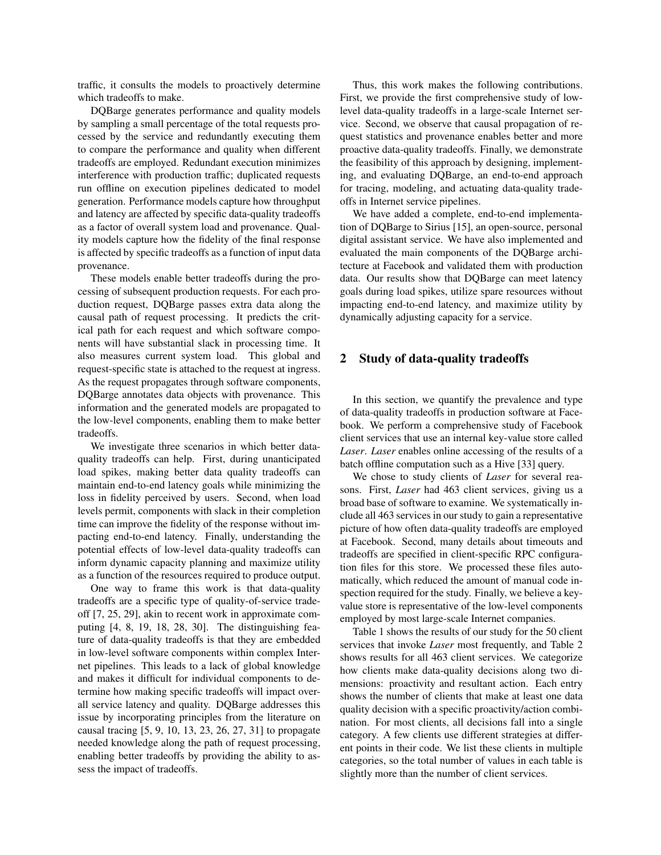traffic, it consults the models to proactively determine which tradeoffs to make.

DQBarge generates performance and quality models by sampling a small percentage of the total requests processed by the service and redundantly executing them to compare the performance and quality when different tradeoffs are employed. Redundant execution minimizes interference with production traffic; duplicated requests run offline on execution pipelines dedicated to model generation. Performance models capture how throughput and latency are affected by specific data-quality tradeoffs as a factor of overall system load and provenance. Quality models capture how the fidelity of the final response is affected by specific tradeoffs as a function of input data provenance.

These models enable better tradeoffs during the processing of subsequent production requests. For each production request, DQBarge passes extra data along the causal path of request processing. It predicts the critical path for each request and which software components will have substantial slack in processing time. It also measures current system load. This global and request-specific state is attached to the request at ingress. As the request propagates through software components, DQBarge annotates data objects with provenance. This information and the generated models are propagated to the low-level components, enabling them to make better tradeoffs.

We investigate three scenarios in which better dataquality tradeoffs can help. First, during unanticipated load spikes, making better data quality tradeoffs can maintain end-to-end latency goals while minimizing the loss in fidelity perceived by users. Second, when load levels permit, components with slack in their completion time can improve the fidelity of the response without impacting end-to-end latency. Finally, understanding the potential effects of low-level data-quality tradeoffs can inform dynamic capacity planning and maximize utility as a function of the resources required to produce output.

One way to frame this work is that data-quality tradeoffs are a specific type of quality-of-service tradeoff [7, 25, 29], akin to recent work in approximate computing [4, 8, 19, 18, 28, 30]. The distinguishing feature of data-quality tradeoffs is that they are embedded in low-level software components within complex Internet pipelines. This leads to a lack of global knowledge and makes it difficult for individual components to determine how making specific tradeoffs will impact overall service latency and quality. DQBarge addresses this issue by incorporating principles from the literature on causal tracing [5, 9, 10, 13, 23, 26, 27, 31] to propagate needed knowledge along the path of request processing, enabling better tradeoffs by providing the ability to assess the impact of tradeoffs.

Thus, this work makes the following contributions. First, we provide the first comprehensive study of lowlevel data-quality tradeoffs in a large-scale Internet service. Second, we observe that causal propagation of request statistics and provenance enables better and more proactive data-quality tradeoffs. Finally, we demonstrate the feasibility of this approach by designing, implementing, and evaluating DQBarge, an end-to-end approach for tracing, modeling, and actuating data-quality tradeoffs in Internet service pipelines.

We have added a complete, end-to-end implementation of DQBarge to Sirius [15], an open-source, personal digital assistant service. We have also implemented and evaluated the main components of the DQBarge architecture at Facebook and validated them with production data. Our results show that DQBarge can meet latency goals during load spikes, utilize spare resources without impacting end-to-end latency, and maximize utility by dynamically adjusting capacity for a service.

## 2 Study of data-quality tradeoffs

In this section, we quantify the prevalence and type of data-quality tradeoffs in production software at Facebook. We perform a comprehensive study of Facebook client services that use an internal key-value store called *Laser*. *Laser* enables online accessing of the results of a batch offline computation such as a Hive [33] query.

We chose to study clients of *Laser* for several reasons. First, *Laser* had 463 client services, giving us a broad base of software to examine. We systematically include all 463 services in our study to gain a representative picture of how often data-quality tradeoffs are employed at Facebook. Second, many details about timeouts and tradeoffs are specified in client-specific RPC configuration files for this store. We processed these files automatically, which reduced the amount of manual code inspection required for the study. Finally, we believe a keyvalue store is representative of the low-level components employed by most large-scale Internet companies.

Table 1 shows the results of our study for the 50 client services that invoke *Laser* most frequently, and Table 2 shows results for all 463 client services. We categorize how clients make data-quality decisions along two dimensions: proactivity and resultant action. Each entry shows the number of clients that make at least one data quality decision with a specific proactivity/action combination. For most clients, all decisions fall into a single category. A few clients use different strategies at different points in their code. We list these clients in multiple categories, so the total number of values in each table is slightly more than the number of client services.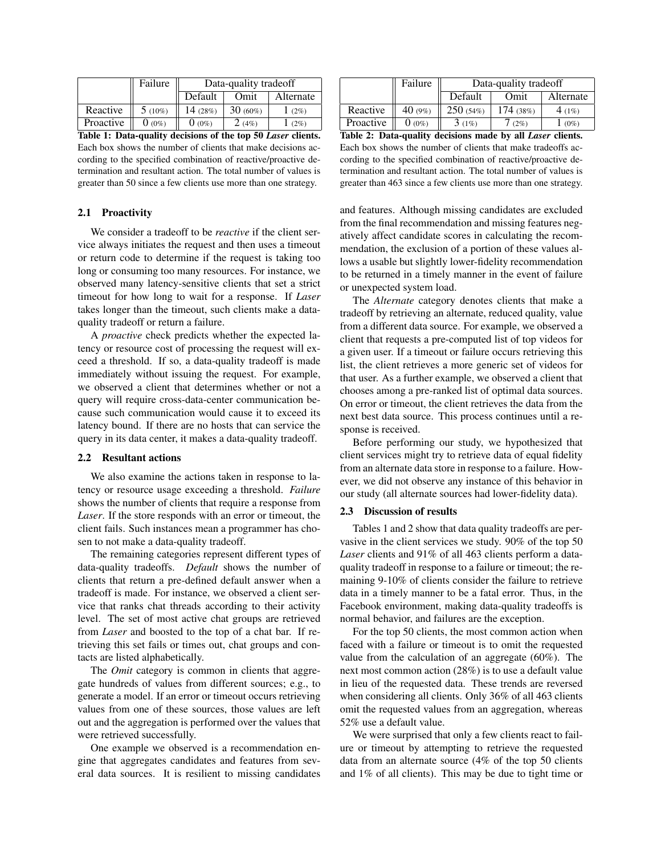|           | Failure   | Data-quality tradeoff |            |           |
|-----------|-----------|-----------------------|------------|-----------|
|           |           | Default               | Omit       | Alternate |
| Reactive  | $5(10\%)$ | 14 $(28%)$            | $30(60\%)$ | (2%)      |
| Proactive | $0(0\%)$  | $0(0\%)$              | 2(4%)      | (2%)      |

Table 1: Data-quality decisions of the top 50 *Laser* clients. Each box shows the number of clients that make decisions according to the specified combination of reactive/proactive determination and resultant action. The total number of values is greater than 50 since a few clients use more than one strategy.

#### 2.1 Proactivity

We consider a tradeoff to be *reactive* if the client service always initiates the request and then uses a timeout or return code to determine if the request is taking too long or consuming too many resources. For instance, we observed many latency-sensitive clients that set a strict timeout for how long to wait for a response. If *Laser* takes longer than the timeout, such clients make a dataquality tradeoff or return a failure.

A *proactive* check predicts whether the expected latency or resource cost of processing the request will exceed a threshold. If so, a data-quality tradeoff is made immediately without issuing the request. For example, we observed a client that determines whether or not a query will require cross-data-center communication because such communication would cause it to exceed its latency bound. If there are no hosts that can service the query in its data center, it makes a data-quality tradeoff.

#### 2.2 Resultant actions

We also examine the actions taken in response to latency or resource usage exceeding a threshold. *Failure* shows the number of clients that require a response from *Laser*. If the store responds with an error or timeout, the client fails. Such instances mean a programmer has chosen to not make a data-quality tradeoff.

The remaining categories represent different types of data-quality tradeoffs. *Default* shows the number of clients that return a pre-defined default answer when a tradeoff is made. For instance, we observed a client service that ranks chat threads according to their activity level. The set of most active chat groups are retrieved from *Laser* and boosted to the top of a chat bar. If retrieving this set fails or times out, chat groups and contacts are listed alphabetically.

The *Omit* category is common in clients that aggregate hundreds of values from different sources; e.g., to generate a model. If an error or timeout occurs retrieving values from one of these sources, those values are left out and the aggregation is performed over the values that were retrieved successfully.

One example we observed is a recommendation engine that aggregates candidates and features from several data sources. It is resilient to missing candidates

|           | Failure   | Data-quality tradeoff |          |           |  |
|-----------|-----------|-----------------------|----------|-----------|--|
|           |           | Default               | Omit     | Alternate |  |
| Reactive  | 40 $(9%)$ | 250(54%)              | 174(38%) | 4(1%)     |  |
| Proactive | $0(0\%)$  | 3(1%)                 | (2%)     | $(0\%)$   |  |
| - - -     |           |                       | . .      |           |  |

Table 2: Data-quality decisions made by all *Laser* clients. Each box shows the number of clients that make tradeoffs according to the specified combination of reactive/proactive determination and resultant action. The total number of values is greater than 463 since a few clients use more than one strategy.

and features. Although missing candidates are excluded from the final recommendation and missing features negatively affect candidate scores in calculating the recommendation, the exclusion of a portion of these values allows a usable but slightly lower-fidelity recommendation to be returned in a timely manner in the event of failure or unexpected system load.

The *Alternate* category denotes clients that make a tradeoff by retrieving an alternate, reduced quality, value from a different data source. For example, we observed a client that requests a pre-computed list of top videos for a given user. If a timeout or failure occurs retrieving this list, the client retrieves a more generic set of videos for that user. As a further example, we observed a client that chooses among a pre-ranked list of optimal data sources. On error or timeout, the client retrieves the data from the next best data source. This process continues until a response is received.

Before performing our study, we hypothesized that client services might try to retrieve data of equal fidelity from an alternate data store in response to a failure. However, we did not observe any instance of this behavior in our study (all alternate sources had lower-fidelity data).

### 2.3 Discussion of results

Tables 1 and 2 show that data quality tradeoffs are pervasive in the client services we study. 90% of the top 50 *Laser* clients and 91% of all 463 clients perform a dataquality tradeoff in response to a failure or timeout; the remaining 9-10% of clients consider the failure to retrieve data in a timely manner to be a fatal error. Thus, in the Facebook environment, making data-quality tradeoffs is normal behavior, and failures are the exception.

For the top 50 clients, the most common action when faced with a failure or timeout is to omit the requested value from the calculation of an aggregate (60%). The next most common action (28%) is to use a default value in lieu of the requested data. These trends are reversed when considering all clients. Only 36% of all 463 clients omit the requested values from an aggregation, whereas 52% use a default value.

We were surprised that only a few clients react to failure or timeout by attempting to retrieve the requested data from an alternate source (4% of the top 50 clients and 1% of all clients). This may be due to tight time or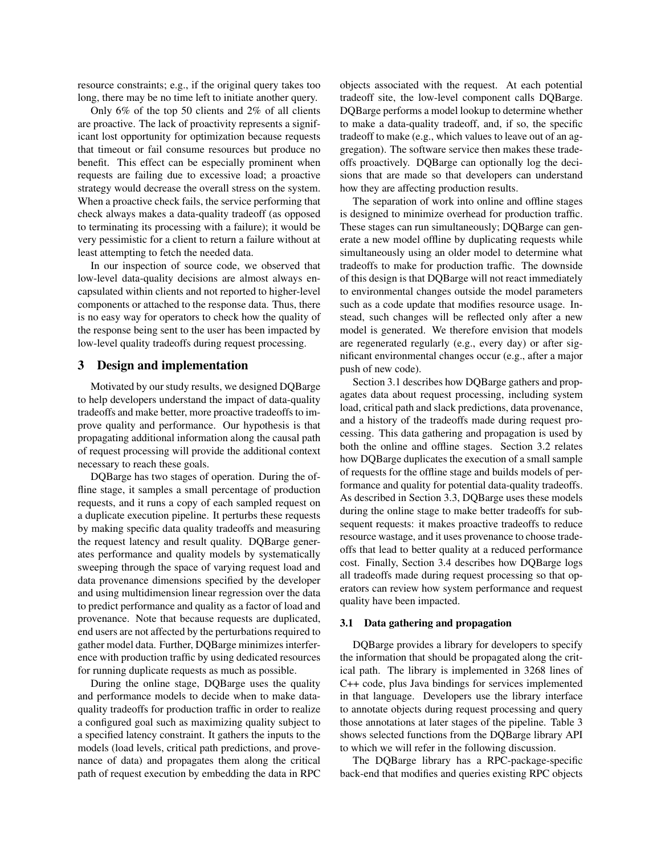resource constraints; e.g., if the original query takes too long, there may be no time left to initiate another query.

Only 6% of the top 50 clients and 2% of all clients are proactive. The lack of proactivity represents a significant lost opportunity for optimization because requests that timeout or fail consume resources but produce no benefit. This effect can be especially prominent when requests are failing due to excessive load; a proactive strategy would decrease the overall stress on the system. When a proactive check fails, the service performing that check always makes a data-quality tradeoff (as opposed to terminating its processing with a failure); it would be very pessimistic for a client to return a failure without at least attempting to fetch the needed data.

In our inspection of source code, we observed that low-level data-quality decisions are almost always encapsulated within clients and not reported to higher-level components or attached to the response data. Thus, there is no easy way for operators to check how the quality of the response being sent to the user has been impacted by low-level quality tradeoffs during request processing.

# 3 Design and implementation

Motivated by our study results, we designed DQBarge to help developers understand the impact of data-quality tradeoffs and make better, more proactive tradeoffs to improve quality and performance. Our hypothesis is that propagating additional information along the causal path of request processing will provide the additional context necessary to reach these goals.

DQBarge has two stages of operation. During the offline stage, it samples a small percentage of production requests, and it runs a copy of each sampled request on a duplicate execution pipeline. It perturbs these requests by making specific data quality tradeoffs and measuring the request latency and result quality. DQBarge generates performance and quality models by systematically sweeping through the space of varying request load and data provenance dimensions specified by the developer and using multidimension linear regression over the data to predict performance and quality as a factor of load and provenance. Note that because requests are duplicated, end users are not affected by the perturbations required to gather model data. Further, DQBarge minimizes interference with production traffic by using dedicated resources for running duplicate requests as much as possible.

During the online stage, DQBarge uses the quality and performance models to decide when to make dataquality tradeoffs for production traffic in order to realize a configured goal such as maximizing quality subject to a specified latency constraint. It gathers the inputs to the models (load levels, critical path predictions, and provenance of data) and propagates them along the critical path of request execution by embedding the data in RPC objects associated with the request. At each potential tradeoff site, the low-level component calls DQBarge. DQBarge performs a model lookup to determine whether to make a data-quality tradeoff, and, if so, the specific tradeoff to make (e.g., which values to leave out of an aggregation). The software service then makes these tradeoffs proactively. DQBarge can optionally log the decisions that are made so that developers can understand how they are affecting production results.

The separation of work into online and offline stages is designed to minimize overhead for production traffic. These stages can run simultaneously; DQBarge can generate a new model offline by duplicating requests while simultaneously using an older model to determine what tradeoffs to make for production traffic. The downside of this design is that DQBarge will not react immediately to environmental changes outside the model parameters such as a code update that modifies resource usage. Instead, such changes will be reflected only after a new model is generated. We therefore envision that models are regenerated regularly (e.g., every day) or after significant environmental changes occur (e.g., after a major push of new code).

Section 3.1 describes how DQBarge gathers and propagates data about request processing, including system load, critical path and slack predictions, data provenance, and a history of the tradeoffs made during request processing. This data gathering and propagation is used by both the online and offline stages. Section 3.2 relates how DQBarge duplicates the execution of a small sample of requests for the offline stage and builds models of performance and quality for potential data-quality tradeoffs. As described in Section 3.3, DQBarge uses these models during the online stage to make better tradeoffs for subsequent requests: it makes proactive tradeoffs to reduce resource wastage, and it uses provenance to choose tradeoffs that lead to better quality at a reduced performance cost. Finally, Section 3.4 describes how DQBarge logs all tradeoffs made during request processing so that operators can review how system performance and request quality have been impacted.

### 3.1 Data gathering and propagation

DQBarge provides a library for developers to specify the information that should be propagated along the critical path. The library is implemented in 3268 lines of C++ code, plus Java bindings for services implemented in that language. Developers use the library interface to annotate objects during request processing and query those annotations at later stages of the pipeline. Table 3 shows selected functions from the DQBarge library API to which we will refer in the following discussion.

The DQBarge library has a RPC-package-specific back-end that modifies and queries existing RPC objects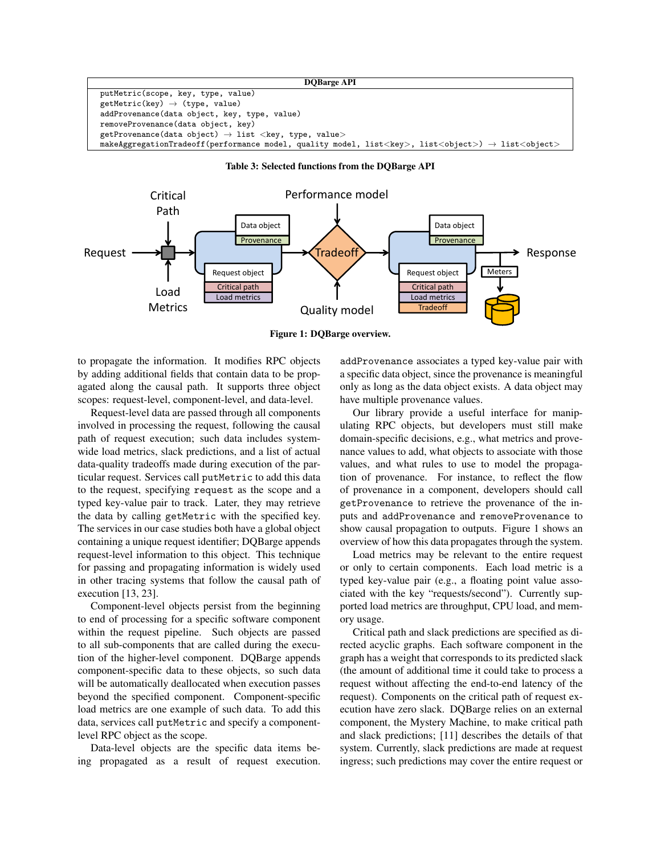#### DQBarge API

putMetric(scope, key, type, value)  $\texttt{getMetric}(\texttt{key})\ \rightarrow\ (\texttt{type, value})$ addProvenance(data object, key, type, value) removeProvenance(data object, key) getProvenance(data object)  $\rightarrow$  list <key, type, value>  $m$ akeAggregationTradeoff(performance model, quality model, list<key>, list<object> $\rightarrow$  list<object>





Figure 1: DQBarge overview.

to propagate the information. It modifies RPC objects by adding additional fields that contain data to be propagated along the causal path. It supports three object scopes: request-level, component-level, and data-level.

Request-level data are passed through all components involved in processing the request, following the causal path of request execution; such data includes systemwide load metrics, slack predictions, and a list of actual data-quality tradeoffs made during execution of the particular request. Services call putMetric to add this data to the request, specifying request as the scope and a typed key-value pair to track. Later, they may retrieve the data by calling getMetric with the specified key. The services in our case studies both have a global object containing a unique request identifier; DQBarge appends request-level information to this object. This technique for passing and propagating information is widely used in other tracing systems that follow the causal path of execution [13, 23].

Component-level objects persist from the beginning to end of processing for a specific software component within the request pipeline. Such objects are passed to all sub-components that are called during the execution of the higher-level component. DQBarge appends component-specific data to these objects, so such data will be automatically deallocated when execution passes beyond the specified component. Component-specific load metrics are one example of such data. To add this data, services call putMetric and specify a componentlevel RPC object as the scope.

Data-level objects are the specific data items being propagated as a result of request execution. addProvenance associates a typed key-value pair with a specific data object, since the provenance is meaningful only as long as the data object exists. A data object may have multiple provenance values.

Our library provide a useful interface for manipulating RPC objects, but developers must still make domain-specific decisions, e.g., what metrics and provenance values to add, what objects to associate with those values, and what rules to use to model the propagation of provenance. For instance, to reflect the flow of provenance in a component, developers should call getProvenance to retrieve the provenance of the inputs and addProvenance and removeProvenance to show causal propagation to outputs. Figure 1 shows an overview of how this data propagates through the system.

Load metrics may be relevant to the entire request or only to certain components. Each load metric is a typed key-value pair (e.g., a floating point value associated with the key "requests/second"). Currently supported load metrics are throughput, CPU load, and memory usage.

Critical path and slack predictions are specified as directed acyclic graphs. Each software component in the graph has a weight that corresponds to its predicted slack (the amount of additional time it could take to process a request without affecting the end-to-end latency of the request). Components on the critical path of request execution have zero slack. DQBarge relies on an external component, the Mystery Machine, to make critical path and slack predictions; [11] describes the details of that system. Currently, slack predictions are made at request ingress; such predictions may cover the entire request or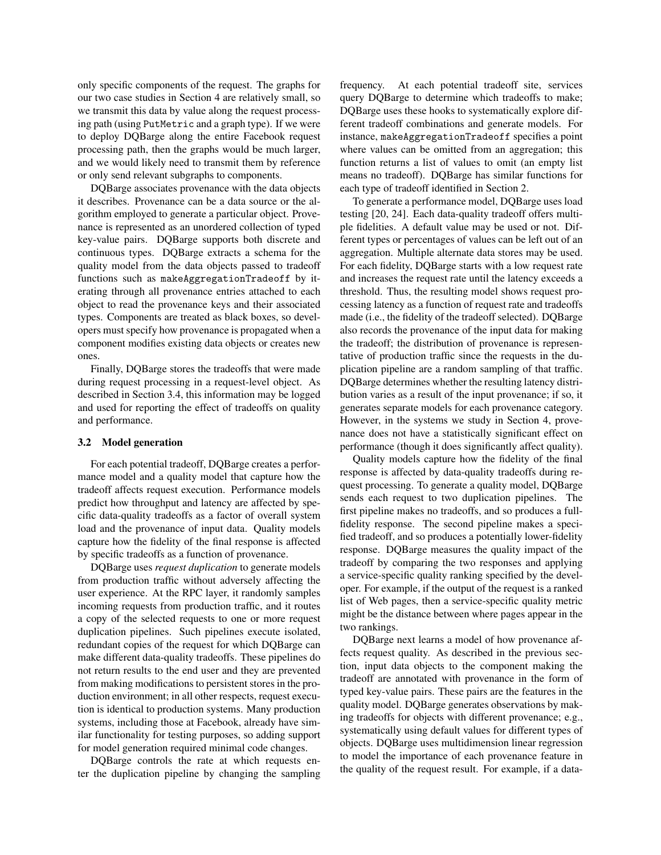only specific components of the request. The graphs for our two case studies in Section 4 are relatively small, so we transmit this data by value along the request processing path (using PutMetric and a graph type). If we were to deploy DQBarge along the entire Facebook request processing path, then the graphs would be much larger, and we would likely need to transmit them by reference or only send relevant subgraphs to components.

DQBarge associates provenance with the data objects it describes. Provenance can be a data source or the algorithm employed to generate a particular object. Provenance is represented as an unordered collection of typed key-value pairs. DQBarge supports both discrete and continuous types. DQBarge extracts a schema for the quality model from the data objects passed to tradeoff functions such as makeAggregationTradeoff by iterating through all provenance entries attached to each object to read the provenance keys and their associated types. Components are treated as black boxes, so developers must specify how provenance is propagated when a component modifies existing data objects or creates new ones.

Finally, DQBarge stores the tradeoffs that were made during request processing in a request-level object. As described in Section 3.4, this information may be logged and used for reporting the effect of tradeoffs on quality and performance.

#### 3.2 Model generation

For each potential tradeoff, DQBarge creates a performance model and a quality model that capture how the tradeoff affects request execution. Performance models predict how throughput and latency are affected by specific data-quality tradeoffs as a factor of overall system load and the provenance of input data. Quality models capture how the fidelity of the final response is affected by specific tradeoffs as a function of provenance.

DQBarge uses *request duplication* to generate models from production traffic without adversely affecting the user experience. At the RPC layer, it randomly samples incoming requests from production traffic, and it routes a copy of the selected requests to one or more request duplication pipelines. Such pipelines execute isolated, redundant copies of the request for which DQBarge can make different data-quality tradeoffs. These pipelines do not return results to the end user and they are prevented from making modifications to persistent stores in the production environment; in all other respects, request execution is identical to production systems. Many production systems, including those at Facebook, already have similar functionality for testing purposes, so adding support for model generation required minimal code changes.

DQBarge controls the rate at which requests enter the duplication pipeline by changing the sampling frequency. At each potential tradeoff site, services query DQBarge to determine which tradeoffs to make; DQBarge uses these hooks to systematically explore different tradeoff combinations and generate models. For instance, makeAggregationTradeoff specifies a point where values can be omitted from an aggregation; this function returns a list of values to omit (an empty list means no tradeoff). DQBarge has similar functions for each type of tradeoff identified in Section 2.

To generate a performance model, DQBarge uses load testing [20, 24]. Each data-quality tradeoff offers multiple fidelities. A default value may be used or not. Different types or percentages of values can be left out of an aggregation. Multiple alternate data stores may be used. For each fidelity, DQBarge starts with a low request rate and increases the request rate until the latency exceeds a threshold. Thus, the resulting model shows request processing latency as a function of request rate and tradeoffs made (i.e., the fidelity of the tradeoff selected). DQBarge also records the provenance of the input data for making the tradeoff; the distribution of provenance is representative of production traffic since the requests in the duplication pipeline are a random sampling of that traffic. DQBarge determines whether the resulting latency distribution varies as a result of the input provenance; if so, it generates separate models for each provenance category. However, in the systems we study in Section 4, provenance does not have a statistically significant effect on performance (though it does significantly affect quality).

Quality models capture how the fidelity of the final response is affected by data-quality tradeoffs during request processing. To generate a quality model, DQBarge sends each request to two duplication pipelines. The first pipeline makes no tradeoffs, and so produces a fullfidelity response. The second pipeline makes a specified tradeoff, and so produces a potentially lower-fidelity response. DQBarge measures the quality impact of the tradeoff by comparing the two responses and applying a service-specific quality ranking specified by the developer. For example, if the output of the request is a ranked list of Web pages, then a service-specific quality metric might be the distance between where pages appear in the two rankings.

DQBarge next learns a model of how provenance affects request quality. As described in the previous section, input data objects to the component making the tradeoff are annotated with provenance in the form of typed key-value pairs. These pairs are the features in the quality model. DQBarge generates observations by making tradeoffs for objects with different provenance; e.g., systematically using default values for different types of objects. DQBarge uses multidimension linear regression to model the importance of each provenance feature in the quality of the request result. For example, if a data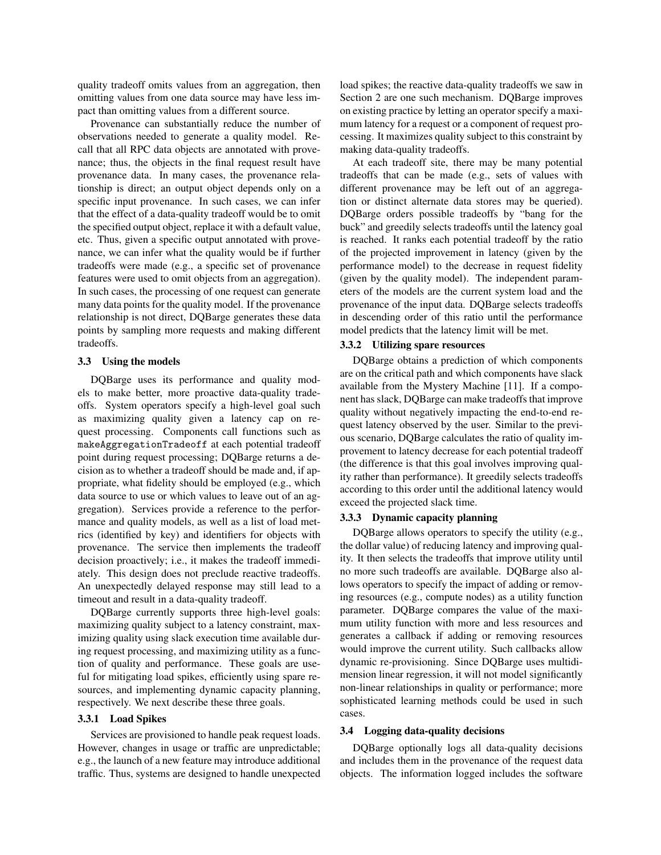quality tradeoff omits values from an aggregation, then omitting values from one data source may have less impact than omitting values from a different source.

Provenance can substantially reduce the number of observations needed to generate a quality model. Recall that all RPC data objects are annotated with provenance; thus, the objects in the final request result have provenance data. In many cases, the provenance relationship is direct; an output object depends only on a specific input provenance. In such cases, we can infer that the effect of a data-quality tradeoff would be to omit the specified output object, replace it with a default value, etc. Thus, given a specific output annotated with provenance, we can infer what the quality would be if further tradeoffs were made (e.g., a specific set of provenance features were used to omit objects from an aggregation). In such cases, the processing of one request can generate many data points for the quality model. If the provenance relationship is not direct, DQBarge generates these data points by sampling more requests and making different tradeoffs.

### 3.3 Using the models

DQBarge uses its performance and quality models to make better, more proactive data-quality tradeoffs. System operators specify a high-level goal such as maximizing quality given a latency cap on request processing. Components call functions such as makeAggregationTradeoff at each potential tradeoff point during request processing; DQBarge returns a decision as to whether a tradeoff should be made and, if appropriate, what fidelity should be employed (e.g., which data source to use or which values to leave out of an aggregation). Services provide a reference to the performance and quality models, as well as a list of load metrics (identified by key) and identifiers for objects with provenance. The service then implements the tradeoff decision proactively; i.e., it makes the tradeoff immediately. This design does not preclude reactive tradeoffs. An unexpectedly delayed response may still lead to a timeout and result in a data-quality tradeoff.

DQBarge currently supports three high-level goals: maximizing quality subject to a latency constraint, maximizing quality using slack execution time available during request processing, and maximizing utility as a function of quality and performance. These goals are useful for mitigating load spikes, efficiently using spare resources, and implementing dynamic capacity planning, respectively. We next describe these three goals.

### 3.3.1 Load Spikes

Services are provisioned to handle peak request loads. However, changes in usage or traffic are unpredictable; e.g., the launch of a new feature may introduce additional traffic. Thus, systems are designed to handle unexpected load spikes; the reactive data-quality tradeoffs we saw in Section 2 are one such mechanism. DQBarge improves on existing practice by letting an operator specify a maximum latency for a request or a component of request processing. It maximizes quality subject to this constraint by making data-quality tradeoffs.

At each tradeoff site, there may be many potential tradeoffs that can be made (e.g., sets of values with different provenance may be left out of an aggregation or distinct alternate data stores may be queried). DQBarge orders possible tradeoffs by "bang for the buck" and greedily selects tradeoffs until the latency goal is reached. It ranks each potential tradeoff by the ratio of the projected improvement in latency (given by the performance model) to the decrease in request fidelity (given by the quality model). The independent parameters of the models are the current system load and the provenance of the input data. DQBarge selects tradeoffs in descending order of this ratio until the performance model predicts that the latency limit will be met.

#### 3.3.2 Utilizing spare resources

DQBarge obtains a prediction of which components are on the critical path and which components have slack available from the Mystery Machine [11]. If a component has slack, DQBarge can make tradeoffs that improve quality without negatively impacting the end-to-end request latency observed by the user. Similar to the previous scenario, DQBarge calculates the ratio of quality improvement to latency decrease for each potential tradeoff (the difference is that this goal involves improving quality rather than performance). It greedily selects tradeoffs according to this order until the additional latency would exceed the projected slack time.

### 3.3.3 Dynamic capacity planning

DOBarge allows operators to specify the utility (e.g., the dollar value) of reducing latency and improving quality. It then selects the tradeoffs that improve utility until no more such tradeoffs are available. DQBarge also allows operators to specify the impact of adding or removing resources (e.g., compute nodes) as a utility function parameter. DQBarge compares the value of the maximum utility function with more and less resources and generates a callback if adding or removing resources would improve the current utility. Such callbacks allow dynamic re-provisioning. Since DQBarge uses multidimension linear regression, it will not model significantly non-linear relationships in quality or performance; more sophisticated learning methods could be used in such cases.

#### 3.4 Logging data-quality decisions

DQBarge optionally logs all data-quality decisions and includes them in the provenance of the request data objects. The information logged includes the software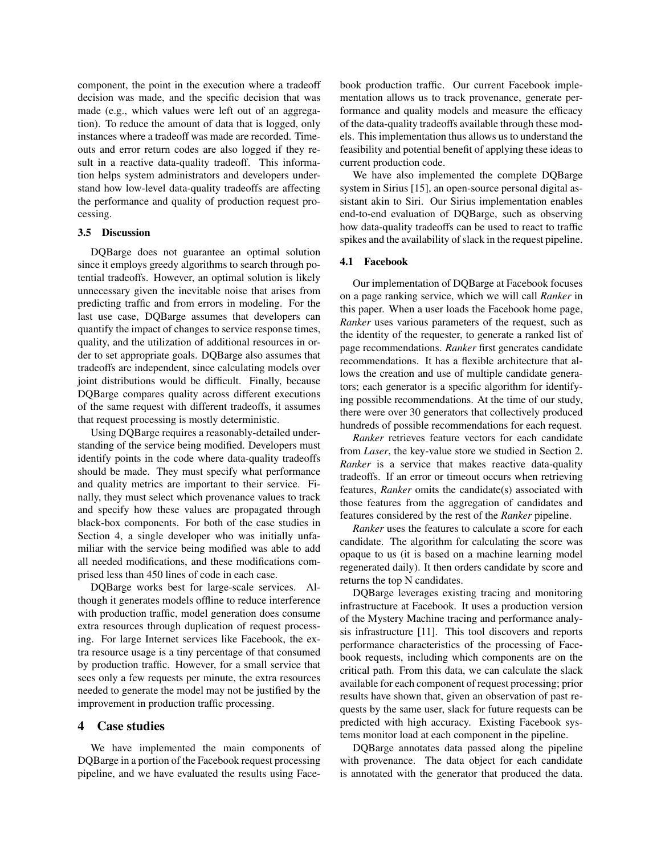component, the point in the execution where a tradeoff decision was made, and the specific decision that was made (e.g., which values were left out of an aggregation). To reduce the amount of data that is logged, only instances where a tradeoff was made are recorded. Timeouts and error return codes are also logged if they result in a reactive data-quality tradeoff. This information helps system administrators and developers understand how low-level data-quality tradeoffs are affecting the performance and quality of production request processing.

#### 3.5 Discussion

DQBarge does not guarantee an optimal solution since it employs greedy algorithms to search through potential tradeoffs. However, an optimal solution is likely unnecessary given the inevitable noise that arises from predicting traffic and from errors in modeling. For the last use case, DQBarge assumes that developers can quantify the impact of changes to service response times, quality, and the utilization of additional resources in order to set appropriate goals. DQBarge also assumes that tradeoffs are independent, since calculating models over joint distributions would be difficult. Finally, because DQBarge compares quality across different executions of the same request with different tradeoffs, it assumes that request processing is mostly deterministic.

Using DQBarge requires a reasonably-detailed understanding of the service being modified. Developers must identify points in the code where data-quality tradeoffs should be made. They must specify what performance and quality metrics are important to their service. Finally, they must select which provenance values to track and specify how these values are propagated through black-box components. For both of the case studies in Section 4, a single developer who was initially unfamiliar with the service being modified was able to add all needed modifications, and these modifications comprised less than 450 lines of code in each case.

DQBarge works best for large-scale services. Although it generates models offline to reduce interference with production traffic, model generation does consume extra resources through duplication of request processing. For large Internet services like Facebook, the extra resource usage is a tiny percentage of that consumed by production traffic. However, for a small service that sees only a few requests per minute, the extra resources needed to generate the model may not be justified by the improvement in production traffic processing.

## 4 Case studies

We have implemented the main components of DQBarge in a portion of the Facebook request processing pipeline, and we have evaluated the results using Facebook production traffic. Our current Facebook implementation allows us to track provenance, generate performance and quality models and measure the efficacy of the data-quality tradeoffs available through these models. This implementation thus allows us to understand the feasibility and potential benefit of applying these ideas to current production code.

We have also implemented the complete DQBarge system in Sirius [15], an open-source personal digital assistant akin to Siri. Our Sirius implementation enables end-to-end evaluation of DQBarge, such as observing how data-quality tradeoffs can be used to react to traffic spikes and the availability of slack in the request pipeline.

### 4.1 Facebook

Our implementation of DQBarge at Facebook focuses on a page ranking service, which we will call *Ranker* in this paper. When a user loads the Facebook home page, *Ranker* uses various parameters of the request, such as the identity of the requester, to generate a ranked list of page recommendations. *Ranker* first generates candidate recommendations. It has a flexible architecture that allows the creation and use of multiple candidate generators; each generator is a specific algorithm for identifying possible recommendations. At the time of our study, there were over 30 generators that collectively produced hundreds of possible recommendations for each request.

*Ranker* retrieves feature vectors for each candidate from *Laser*, the key-value store we studied in Section 2. *Ranker* is a service that makes reactive data-quality tradeoffs. If an error or timeout occurs when retrieving features, *Ranker* omits the candidate(s) associated with those features from the aggregation of candidates and features considered by the rest of the *Ranker* pipeline.

*Ranker* uses the features to calculate a score for each candidate. The algorithm for calculating the score was opaque to us (it is based on a machine learning model regenerated daily). It then orders candidate by score and returns the top N candidates.

DQBarge leverages existing tracing and monitoring infrastructure at Facebook. It uses a production version of the Mystery Machine tracing and performance analysis infrastructure [11]. This tool discovers and reports performance characteristics of the processing of Facebook requests, including which components are on the critical path. From this data, we can calculate the slack available for each component of request processing; prior results have shown that, given an observation of past requests by the same user, slack for future requests can be predicted with high accuracy. Existing Facebook systems monitor load at each component in the pipeline.

DQBarge annotates data passed along the pipeline with provenance. The data object for each candidate is annotated with the generator that produced the data.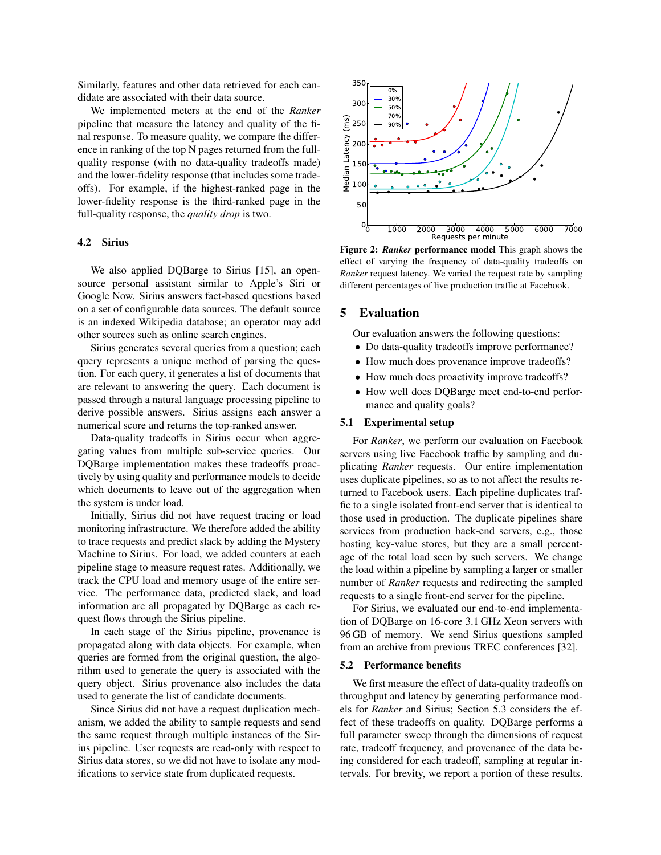Similarly, features and other data retrieved for each candidate are associated with their data source.

We implemented meters at the end of the *Ranker* pipeline that measure the latency and quality of the final response. To measure quality, we compare the difference in ranking of the top N pages returned from the fullquality response (with no data-quality tradeoffs made) and the lower-fidelity response (that includes some tradeoffs). For example, if the highest-ranked page in the lower-fidelity response is the third-ranked page in the full-quality response, the *quality drop* is two.

### 4.2 Sirius

We also applied DOBarge to Sirius [15], an opensource personal assistant similar to Apple's Siri or Google Now. Sirius answers fact-based questions based on a set of configurable data sources. The default source is an indexed Wikipedia database; an operator may add other sources such as online search engines.

Sirius generates several queries from a question; each query represents a unique method of parsing the question. For each query, it generates a list of documents that are relevant to answering the query. Each document is passed through a natural language processing pipeline to derive possible answers. Sirius assigns each answer a numerical score and returns the top-ranked answer.

Data-quality tradeoffs in Sirius occur when aggregating values from multiple sub-service queries. Our DQBarge implementation makes these tradeoffs proactively by using quality and performance models to decide which documents to leave out of the aggregation when the system is under load.

Initially, Sirius did not have request tracing or load monitoring infrastructure. We therefore added the ability to trace requests and predict slack by adding the Mystery Machine to Sirius. For load, we added counters at each pipeline stage to measure request rates. Additionally, we track the CPU load and memory usage of the entire service. The performance data, predicted slack, and load information are all propagated by DQBarge as each request flows through the Sirius pipeline.

In each stage of the Sirius pipeline, provenance is propagated along with data objects. For example, when queries are formed from the original question, the algorithm used to generate the query is associated with the query object. Sirius provenance also includes the data used to generate the list of candidate documents.

Since Sirius did not have a request duplication mechanism, we added the ability to sample requests and send the same request through multiple instances of the Sirius pipeline. User requests are read-only with respect to Sirius data stores, so we did not have to isolate any modifications to service state from duplicated requests.



Figure 2: *Ranker* performance model This graph shows the effect of varying the frequency of data-quality tradeoffs on *Ranker* request latency. We varied the request rate by sampling different percentages of live production traffic at Facebook.

#### 5 Evaluation

Our evaluation answers the following questions:

- Do data-quality tradeoffs improve performance?
- How much does provenance improve tradeoffs?
- How much does proactivity improve tradeoffs?
- How well does DQBarge meet end-to-end performance and quality goals?

### 5.1 Experimental setup

For *Ranker*, we perform our evaluation on Facebook servers using live Facebook traffic by sampling and duplicating *Ranker* requests. Our entire implementation uses duplicate pipelines, so as to not affect the results returned to Facebook users. Each pipeline duplicates traffic to a single isolated front-end server that is identical to those used in production. The duplicate pipelines share services from production back-end servers, e.g., those hosting key-value stores, but they are a small percentage of the total load seen by such servers. We change the load within a pipeline by sampling a larger or smaller number of *Ranker* requests and redirecting the sampled requests to a single front-end server for the pipeline.

For Sirius, we evaluated our end-to-end implementation of DQBarge on 16-core 3.1 GHz Xeon servers with 96 GB of memory. We send Sirius questions sampled from an archive from previous TREC conferences [32].

#### 5.2 Performance benefits

We first measure the effect of data-quality tradeoffs on throughput and latency by generating performance models for *Ranker* and Sirius; Section 5.3 considers the effect of these tradeoffs on quality. DQBarge performs a full parameter sweep through the dimensions of request rate, tradeoff frequency, and provenance of the data being considered for each tradeoff, sampling at regular intervals. For brevity, we report a portion of these results.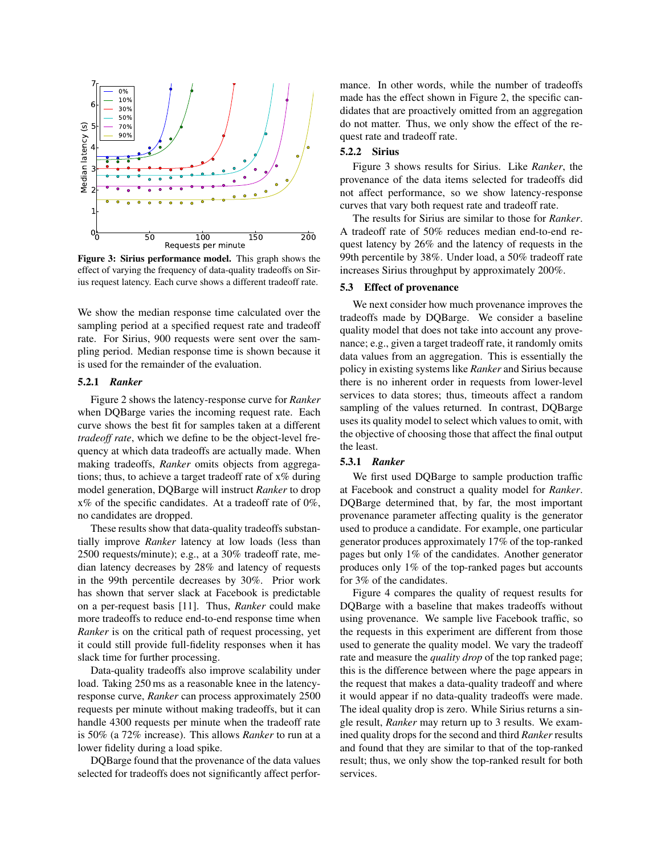

Figure 3: Sirius performance model. This graph shows the effect of varying the frequency of data-quality tradeoffs on Sirius request latency. Each curve shows a different tradeoff rate.

We show the median response time calculated over the sampling period at a specified request rate and tradeoff rate. For Sirius, 900 requests were sent over the sampling period. Median response time is shown because it is used for the remainder of the evaluation.

#### 5.2.1 *Ranker*

Figure 2 shows the latency-response curve for *Ranker* when DQBarge varies the incoming request rate. Each curve shows the best fit for samples taken at a different *tradeoff rate*, which we define to be the object-level frequency at which data tradeoffs are actually made. When making tradeoffs, *Ranker* omits objects from aggregations; thus, to achieve a target tradeoff rate of  $x\%$  during model generation, DQBarge will instruct *Ranker* to drop x% of the specific candidates. At a tradeoff rate of 0%, no candidates are dropped.

These results show that data-quality tradeoffs substantially improve *Ranker* latency at low loads (less than 2500 requests/minute); e.g., at a 30% tradeoff rate, median latency decreases by 28% and latency of requests in the 99th percentile decreases by 30%. Prior work has shown that server slack at Facebook is predictable on a per-request basis [11]. Thus, *Ranker* could make more tradeoffs to reduce end-to-end response time when *Ranker* is on the critical path of request processing, yet it could still provide full-fidelity responses when it has slack time for further processing.

Data-quality tradeoffs also improve scalability under load. Taking 250 ms as a reasonable knee in the latencyresponse curve, *Ranker* can process approximately 2500 requests per minute without making tradeoffs, but it can handle 4300 requests per minute when the tradeoff rate is 50% (a 72% increase). This allows *Ranker* to run at a lower fidelity during a load spike.

DQBarge found that the provenance of the data values selected for tradeoffs does not significantly affect performance. In other words, while the number of tradeoffs made has the effect shown in Figure 2, the specific candidates that are proactively omitted from an aggregation do not matter. Thus, we only show the effect of the request rate and tradeoff rate.

#### 5.2.2 Sirius

Figure 3 shows results for Sirius. Like *Ranker*, the provenance of the data items selected for tradeoffs did not affect performance, so we show latency-response curves that vary both request rate and tradeoff rate.

The results for Sirius are similar to those for *Ranker*. A tradeoff rate of 50% reduces median end-to-end request latency by 26% and the latency of requests in the 99th percentile by 38%. Under load, a 50% tradeoff rate increases Sirius throughput by approximately 200%.

#### 5.3 Effect of provenance

We next consider how much provenance improves the tradeoffs made by DQBarge. We consider a baseline quality model that does not take into account any provenance; e.g., given a target tradeoff rate, it randomly omits data values from an aggregation. This is essentially the policy in existing systems like *Ranker* and Sirius because there is no inherent order in requests from lower-level services to data stores; thus, timeouts affect a random sampling of the values returned. In contrast, DQBarge uses its quality model to select which values to omit, with the objective of choosing those that affect the final output the least.

### 5.3.1 *Ranker*

We first used DQBarge to sample production traffic at Facebook and construct a quality model for *Ranker*. DQBarge determined that, by far, the most important provenance parameter affecting quality is the generator used to produce a candidate. For example, one particular generator produces approximately 17% of the top-ranked pages but only 1% of the candidates. Another generator produces only 1% of the top-ranked pages but accounts for 3% of the candidates.

Figure 4 compares the quality of request results for DQBarge with a baseline that makes tradeoffs without using provenance. We sample live Facebook traffic, so the requests in this experiment are different from those used to generate the quality model. We vary the tradeoff rate and measure the *quality drop* of the top ranked page; this is the difference between where the page appears in the request that makes a data-quality tradeoff and where it would appear if no data-quality tradeoffs were made. The ideal quality drop is zero. While Sirius returns a single result, *Ranker* may return up to 3 results. We examined quality drops for the second and third *Ranker* results and found that they are similar to that of the top-ranked result; thus, we only show the top-ranked result for both services.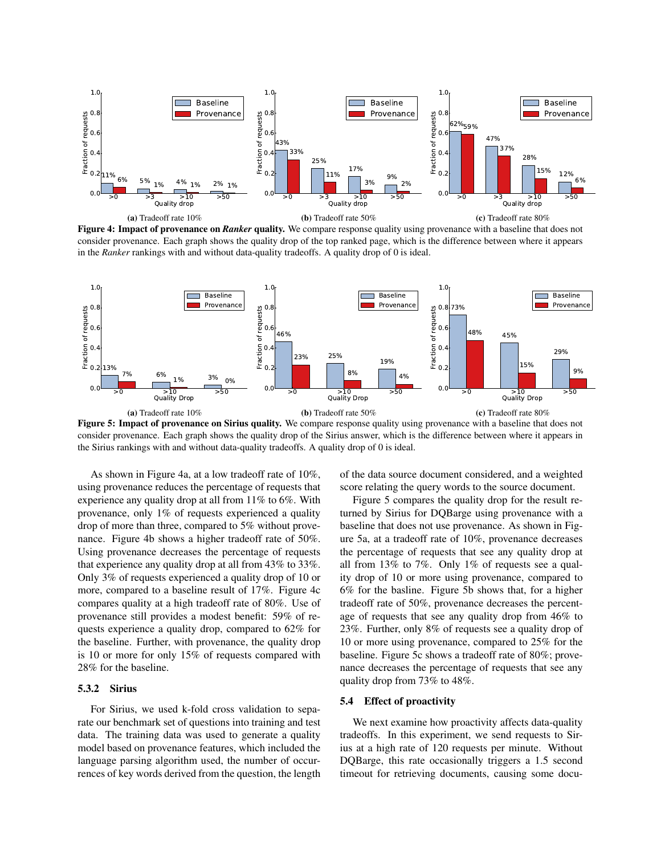

Figure 4: Impact of provenance on *Ranker* quality. We compare response quality using provenance with a baseline that does not consider provenance. Each graph shows the quality drop of the top ranked page, which is the difference between where it appears in the *Ranker* rankings with and without data-quality tradeoffs. A quality drop of 0 is ideal.



Figure 5: Impact of provenance on Sirius quality. We compare response quality using provenance with a baseline that does not consider provenance. Each graph shows the quality drop of the Sirius answer, which is the difference between where it appears in the Sirius rankings with and without data-quality tradeoffs. A quality drop of 0 is ideal.

As shown in Figure 4a, at a low tradeoff rate of 10%, using provenance reduces the percentage of requests that experience any quality drop at all from 11% to 6%. With provenance, only 1% of requests experienced a quality drop of more than three, compared to 5% without provenance. Figure 4b shows a higher tradeoff rate of 50%. Using provenance decreases the percentage of requests that experience any quality drop at all from 43% to 33%. Only 3% of requests experienced a quality drop of 10 or more, compared to a baseline result of 17%. Figure 4c compares quality at a high tradeoff rate of 80%. Use of provenance still provides a modest benefit: 59% of requests experience a quality drop, compared to 62% for the baseline. Further, with provenance, the quality drop is 10 or more for only 15% of requests compared with 28% for the baseline.

#### 5.3.2 Sirius

For Sirius, we used k-fold cross validation to separate our benchmark set of questions into training and test data. The training data was used to generate a quality model based on provenance features, which included the language parsing algorithm used, the number of occurrences of key words derived from the question, the length of the data source document considered, and a weighted score relating the query words to the source document.

Figure 5 compares the quality drop for the result returned by Sirius for DQBarge using provenance with a baseline that does not use provenance. As shown in Figure 5a, at a tradeoff rate of 10%, provenance decreases the percentage of requests that see any quality drop at all from 13% to 7%. Only 1% of requests see a quality drop of 10 or more using provenance, compared to 6% for the basline. Figure 5b shows that, for a higher tradeoff rate of 50%, provenance decreases the percentage of requests that see any quality drop from 46% to 23%. Further, only 8% of requests see a quality drop of 10 or more using provenance, compared to 25% for the baseline. Figure 5c shows a tradeoff rate of 80%; provenance decreases the percentage of requests that see any quality drop from 73% to 48%.

#### 5.4 Effect of proactivity

We next examine how proactivity affects data-quality tradeoffs. In this experiment, we send requests to Sirius at a high rate of 120 requests per minute. Without DQBarge, this rate occasionally triggers a 1.5 second timeout for retrieving documents, causing some docu-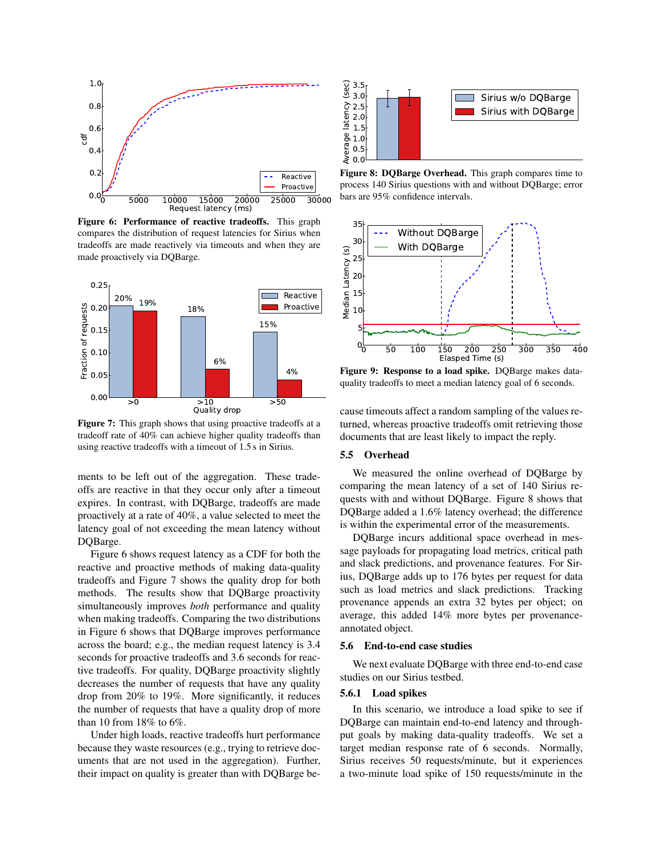

Figure 6: Performance of reactive tradeoffs. This graph compares the distribution of request latencies for Sirius when tradeoffs are made reactively via timeouts and when they are made proactively via DQBarge.



Figure 7: This graph shows that using proactive tradeoffs at a tradeoff rate of 40% can achieve higher quality tradeoffs than using reactive tradeoffs with a timeout of 1.5 s in Sirius.

ments to be left out of the aggregation. These tradeoffs are reactive in that they occur only after a timeout expires. In contrast, with DQBarge, tradeoffs are made proactively at a rate of 40%, a value selected to meet the latency goal of not exceeding the mean latency without DQBarge.

Figure 6 shows request latency as a CDF for both the reactive and proactive methods of making data-quality tradeoffs and Figure 7 shows the quality drop for both methods. The results show that DQBarge proactivity simultaneously improves *both* performance and quality when making tradeoffs. Comparing the two distributions in Figure 6 shows that DQBarge improves performance across the board; e.g., the median request latency is 3.4 seconds for proactive tradeoffs and 3.6 seconds for reactive tradeoffs. For quality, DQBarge proactivity slightly decreases the number of requests that have any quality drop from 20% to 19%. More significantly, it reduces the number of requests that have a quality drop of more than 10 from 18% to 6%.

Under high loads, reactive tradeoffs hurt performance because they waste resources (e.g., trying to retrieve documents that are not used in the aggregation). Further, their impact on quality is greater than with DQBarge be-



Figure 8: DQBarge Overhead. This graph compares time to process 140 Sirius questions with and without DQBarge; error bars are 95% confidence intervals.



 quality tradeoffs to meet a median latency goal of 6 seconds. Figure 9: Response to a load spike. DQBarge makes data-

cause timeouts affect a random sampling of the values returned, whereas proactive tradeoffs omit retrieving those documents that are least likely to impact the reply.

#### 5.5 Overhead

We measured the online overhead of DQBarge by comparing the mean latency of a set of 140 Sirius requests with and without DQBarge. Figure 8 shows that DQBarge added a 1.6% latency overhead; the difference is within the experimental error of the measurements.

DQBarge incurs additional space overhead in message payloads for propagating load metrics, critical path and slack predictions, and provenance features. For Sirius, DQBarge adds up to 176 bytes per request for data such as load metrics and slack predictions. Tracking provenance appends an extra 32 bytes per object; on average, this added 14% more bytes per provenanceannotated object.

### 5.6 End-to-end case studies

We next evaluate DQBarge with three end-to-end case studies on our Sirius testbed.

### 5.6.1 Load spikes

In this scenario, we introduce a load spike to see if DQBarge can maintain end-to-end latency and throughput goals by making data-quality tradeoffs. We set a target median response rate of 6 seconds. Normally, Sirius receives 50 requests/minute, but it experiences a two-minute load spike of 150 requests/minute in the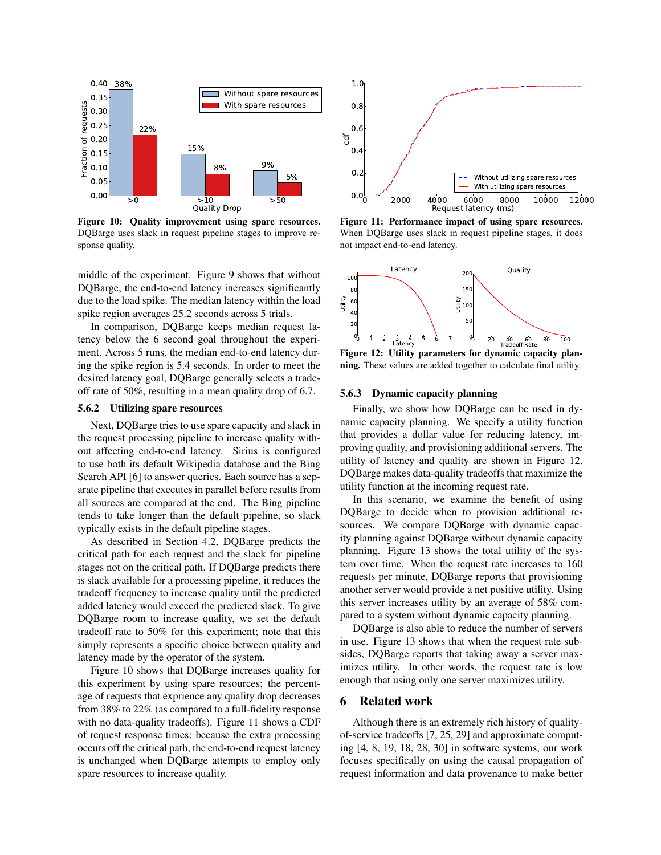

Figure 10: Quality improvement using spare resources. DQBarge uses slack in request pipeline stages to improve response quality.

middle of the experiment. Figure 9 shows that without DQBarge, the end-to-end latency increases significantly due to the load spike. The median latency within the load spike region averages 25.2 seconds across 5 trials.

In comparison, DQBarge keeps median request latency below the 6 second goal throughout the experiment. Across 5 runs, the median end-to-end latency during the spike region is 5.4 seconds. In order to meet the desired latency goal, DQBarge generally selects a tradeoff rate of 50%, resulting in a mean quality drop of 6.7.

### 5.6.2 Utilizing spare resources

Next, DQBarge tries to use spare capacity and slack in the request processing pipeline to increase quality without affecting end-to-end latency. Sirius is configured to use both its default Wikipedia database and the Bing Search API [6] to answer queries. Each source has a separate pipeline that executes in parallel before results from all sources are compared at the end. The Bing pipeline tends to take longer than the default pipeline, so slack typically exists in the default pipeline stages.

As described in Section 4.2, DQBarge predicts the critical path for each request and the slack for pipeline stages not on the critical path. If DQBarge predicts there is slack available for a processing pipeline, it reduces the tradeoff frequency to increase quality until the predicted added latency would exceed the predicted slack. To give DQBarge room to increase quality, we set the default tradeoff rate to 50% for this experiment; note that this simply represents a specific choice between quality and latency made by the operator of the system.

Figure 10 shows that DQBarge increases quality for this experiment by using spare resources; the percentage of requests that exprience any quality drop decreases from 38% to 22% (as compared to a full-fidelity response with no data-quality tradeoffs). Figure 11 shows a CDF of request response times; because the extra processing occurs off the critical path, the end-to-end request latency is unchanged when DQBarge attempts to employ only spare resources to increase quality.



Figure 11: Performance impact of using spare resources. When DQBarge uses slack in request pipeline stages, it does not impact end-to-end latency.



Figure 12: Utility parameters for dynamic capacity planning. These values are added together to calculate final utility.

### 5.6.3 Dynamic capacity planning

Finally, we show how DQBarge can be used in dynamic capacity planning. We specify a utility function that provides a dollar value for reducing latency, improving quality, and provisioning additional servers. The utility of latency and quality are shown in Figure 12. DQBarge makes data-quality tradeoffs that maximize the utility function at the incoming request rate.

In this scenario, we examine the benefit of using DQBarge to decide when to provision additional resources. We compare DQBarge with dynamic capacity planning against DQBarge without dynamic capacity planning. Figure 13 shows the total utility of the system over time. When the request rate increases to 160 requests per minute, DQBarge reports that provisioning another server would provide a net positive utility. Using this server increases utility by an average of 58% compared to a system without dynamic capacity planning.

DQBarge is also able to reduce the number of servers in use. Figure 13 shows that when the request rate subsides, DQBarge reports that taking away a server maximizes utility. In other words, the request rate is low enough that using only one server maximizes utility.

# 6 Related work

Although there is an extremely rich history of qualityof-service tradeoffs [7, 25, 29] and approximate computing [4, 8, 19, 18, 28, 30] in software systems, our work focuses specifically on using the causal propagation of request information and data provenance to make better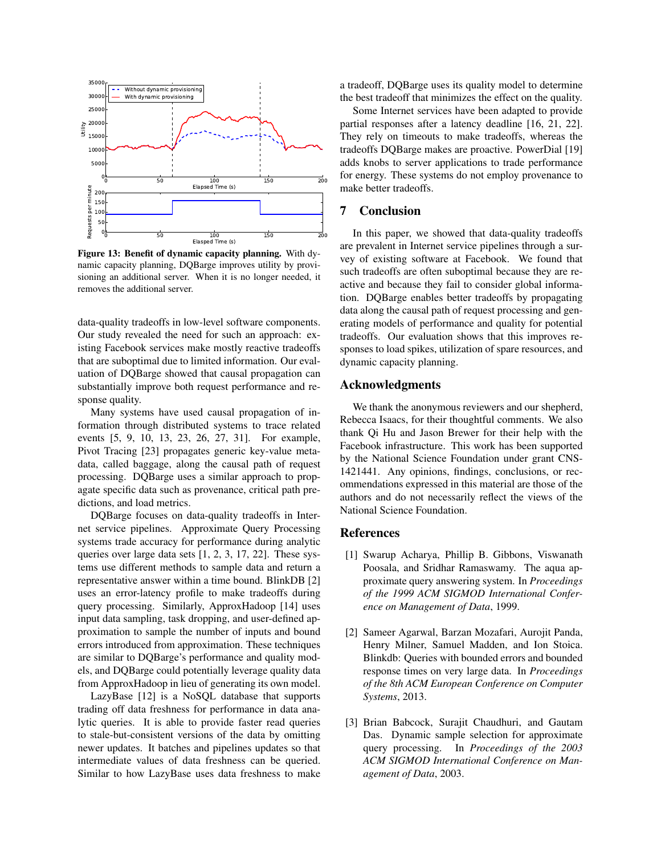

Figure 13: Benefit of dynamic capacity planning. With dynamic capacity planning, DQBarge improves utility by provisioning an additional server. When it is no longer needed, it removes the additional server.

data-quality tradeoffs in low-level software components. Our study revealed the need for such an approach: existing Facebook services make mostly reactive tradeoffs that are suboptimal due to limited information. Our evaluation of DQBarge showed that causal propagation can substantially improve both request performance and response quality.

Many systems have used causal propagation of information through distributed systems to trace related events [5, 9, 10, 13, 23, 26, 27, 31]. For example, Pivot Tracing [23] propagates generic key-value metadata, called baggage, along the causal path of request processing. DQBarge uses a similar approach to propagate specific data such as provenance, critical path predictions, and load metrics.

DQBarge focuses on data-quality tradeoffs in Internet service pipelines. Approximate Query Processing systems trade accuracy for performance during analytic queries over large data sets [1, 2, 3, 17, 22]. These systems use different methods to sample data and return a representative answer within a time bound. BlinkDB [2] uses an error-latency profile to make tradeoffs during query processing. Similarly, ApproxHadoop [14] uses input data sampling, task dropping, and user-defined approximation to sample the number of inputs and bound errors introduced from approximation. These techniques are similar to DQBarge's performance and quality models, and DQBarge could potentially leverage quality data from ApproxHadoop in lieu of generating its own model.

LazyBase [12] is a NoSQL database that supports trading off data freshness for performance in data analytic queries. It is able to provide faster read queries to stale-but-consistent versions of the data by omitting newer updates. It batches and pipelines updates so that intermediate values of data freshness can be queried. Similar to how LazyBase uses data freshness to make a tradeoff, DQBarge uses its quality model to determine the best tradeoff that minimizes the effect on the quality.

Some Internet services have been adapted to provide partial responses after a latency deadline [16, 21, 22]. They rely on timeouts to make tradeoffs, whereas the tradeoffs DQBarge makes are proactive. PowerDial [19] adds knobs to server applications to trade performance for energy. These systems do not employ provenance to make better tradeoffs.

# 7 Conclusion

In this paper, we showed that data-quality tradeoffs are prevalent in Internet service pipelines through a survey of existing software at Facebook. We found that such tradeoffs are often suboptimal because they are reactive and because they fail to consider global information. DQBarge enables better tradeoffs by propagating data along the causal path of request processing and generating models of performance and quality for potential tradeoffs. Our evaluation shows that this improves responses to load spikes, utilization of spare resources, and dynamic capacity planning.

# Acknowledgments

We thank the anonymous reviewers and our shepherd, Rebecca Isaacs, for their thoughtful comments. We also thank Qi Hu and Jason Brewer for their help with the Facebook infrastructure. This work has been supported by the National Science Foundation under grant CNS-1421441. Any opinions, findings, conclusions, or recommendations expressed in this material are those of the authors and do not necessarily reflect the views of the National Science Foundation.

# References

- [1] Swarup Acharya, Phillip B. Gibbons, Viswanath Poosala, and Sridhar Ramaswamy. The aqua approximate query answering system. In *Proceedings of the 1999 ACM SIGMOD International Conference on Management of Data*, 1999.
- [2] Sameer Agarwal, Barzan Mozafari, Aurojit Panda, Henry Milner, Samuel Madden, and Ion Stoica. Blinkdb: Queries with bounded errors and bounded response times on very large data. In *Proceedings of the 8th ACM European Conference on Computer Systems*, 2013.
- [3] Brian Babcock, Surajit Chaudhuri, and Gautam Das. Dynamic sample selection for approximate query processing. In *Proceedings of the 2003 ACM SIGMOD International Conference on Management of Data*, 2003.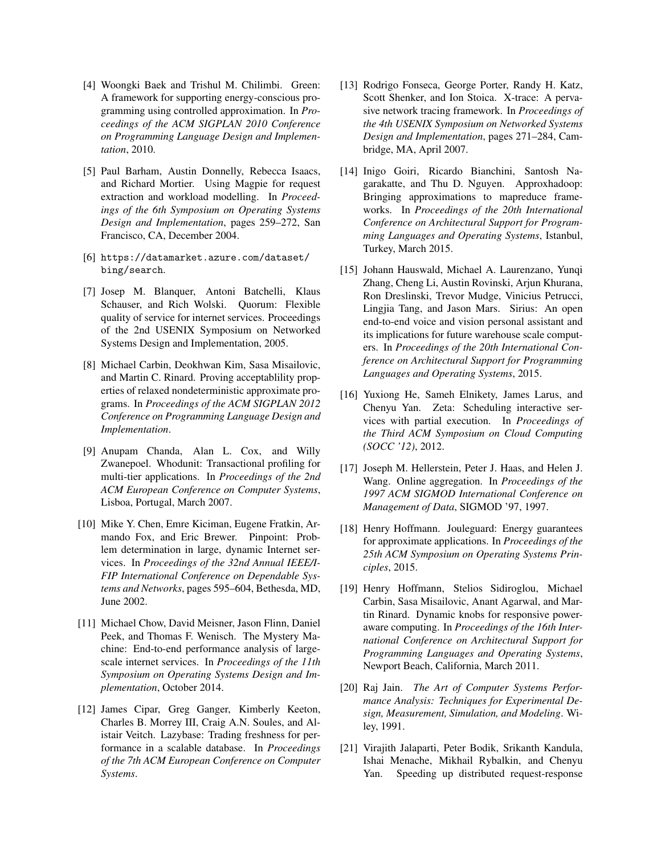- [4] Woongki Baek and Trishul M. Chilimbi. Green: A framework for supporting energy-conscious programming using controlled approximation. In *Proceedings of the ACM SIGPLAN 2010 Conference on Programming Language Design and Implementation*, 2010.
- [5] Paul Barham, Austin Donnelly, Rebecca Isaacs, and Richard Mortier. Using Magpie for request extraction and workload modelling. In *Proceedings of the 6th Symposium on Operating Systems Design and Implementation*, pages 259–272, San Francisco, CA, December 2004.
- [6] https://datamarket.azure.com/dataset/ bing/search.
- [7] Josep M. Blanquer, Antoni Batchelli, Klaus Schauser, and Rich Wolski. Quorum: Flexible quality of service for internet services. Proceedings of the 2nd USENIX Symposium on Networked Systems Design and Implementation, 2005.
- [8] Michael Carbin, Deokhwan Kim, Sasa Misailovic, and Martin C. Rinard. Proving acceptablility properties of relaxed nondeterministic approximate programs. In *Proceedings of the ACM SIGPLAN 2012 Conference on Programming Language Design and Implementation*.
- [9] Anupam Chanda, Alan L. Cox, and Willy Zwanepoel. Whodunit: Transactional profiling for multi-tier applications. In *Proceedings of the 2nd ACM European Conference on Computer Systems*, Lisboa, Portugal, March 2007.
- [10] Mike Y. Chen, Emre Kiciman, Eugene Fratkin, Armando Fox, and Eric Brewer. Pinpoint: Problem determination in large, dynamic Internet services. In *Proceedings of the 32nd Annual IEEE/I-FIP International Conference on Dependable Systems and Networks*, pages 595–604, Bethesda, MD, June 2002.
- [11] Michael Chow, David Meisner, Jason Flinn, Daniel Peek, and Thomas F. Wenisch. The Mystery Machine: End-to-end performance analysis of largescale internet services. In *Proceedings of the 11th Symposium on Operating Systems Design and Implementation*, October 2014.
- [12] James Cipar, Greg Ganger, Kimberly Keeton, Charles B. Morrey III, Craig A.N. Soules, and Alistair Veitch. Lazybase: Trading freshness for performance in a scalable database. In *Proceedings of the 7th ACM European Conference on Computer Systems*.
- [13] Rodrigo Fonseca, George Porter, Randy H. Katz, Scott Shenker, and Ion Stoica. X-trace: A pervasive network tracing framework. In *Proceedings of the 4th USENIX Symposium on Networked Systems Design and Implementation*, pages 271–284, Cambridge, MA, April 2007.
- [14] Inigo Goiri, Ricardo Bianchini, Santosh Nagarakatte, and Thu D. Nguyen. Approxhadoop: Bringing approximations to mapreduce frameworks. In *Proceedings of the 20th International Conference on Architectural Support for Programming Languages and Operating Systems*, Istanbul, Turkey, March 2015.
- [15] Johann Hauswald, Michael A. Laurenzano, Yunqi Zhang, Cheng Li, Austin Rovinski, Arjun Khurana, Ron Dreslinski, Trevor Mudge, Vinicius Petrucci, Lingjia Tang, and Jason Mars. Sirius: An open end-to-end voice and vision personal assistant and its implications for future warehouse scale computers. In *Proceedings of the 20th International Conference on Architectural Support for Programming Languages and Operating Systems*, 2015.
- [16] Yuxiong He, Sameh Elnikety, James Larus, and Chenyu Yan. Zeta: Scheduling interactive services with partial execution. In *Proceedings of the Third ACM Symposium on Cloud Computing (SOCC '12)*, 2012.
- [17] Joseph M. Hellerstein, Peter J. Haas, and Helen J. Wang. Online aggregation. In *Proceedings of the 1997 ACM SIGMOD International Conference on Management of Data*, SIGMOD '97, 1997.
- [18] Henry Hoffmann. Jouleguard: Energy guarantees for approximate applications. In *Proceedings of the 25th ACM Symposium on Operating Systems Principles*, 2015.
- [19] Henry Hoffmann, Stelios Sidiroglou, Michael Carbin, Sasa Misailovic, Anant Agarwal, and Martin Rinard. Dynamic knobs for responsive poweraware computing. In *Proceedings of the 16th International Conference on Architectural Support for Programming Languages and Operating Systems*, Newport Beach, California, March 2011.
- [20] Raj Jain. *The Art of Computer Systems Performance Analysis: Techniques for Experimental Design, Measurement, Simulation, and Modeling*. Wiley, 1991.
- [21] Virajith Jalaparti, Peter Bodik, Srikanth Kandula, Ishai Menache, Mikhail Rybalkin, and Chenyu Yan. Speeding up distributed request-response